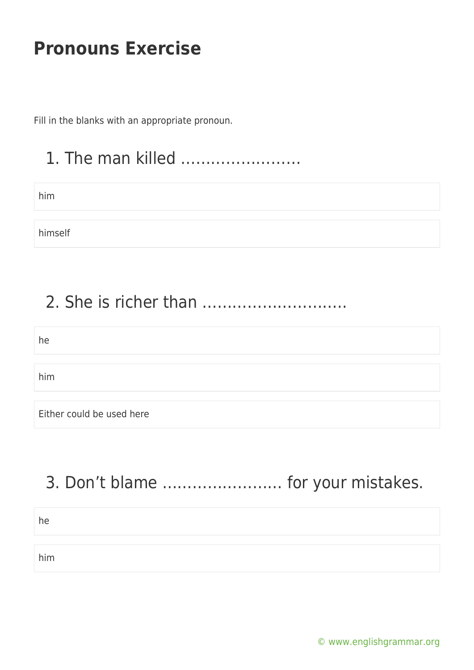Fill in the blanks with an appropriate pronoun.

## 1. The man killed ……………………

him

himself

#### 2. She is richer than ………………………..

he

him

Either could be used here

# 3. Don't blame …………………… for your mistakes.

| he  |  |
|-----|--|
|     |  |
| him |  |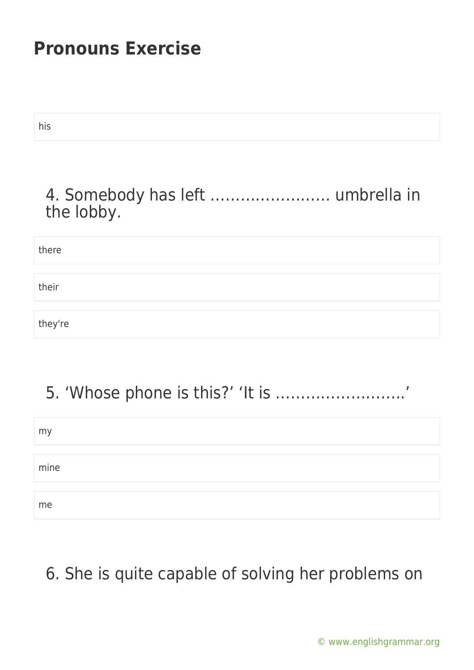| his                                             |
|-------------------------------------------------|
| 4. Somebody has left  umbrella in<br>the lobby. |
| there                                           |
| their                                           |
| they're                                         |

# 5. 'Whose phone is this?' 'It is ……………………..'

| my   |  |  |
|------|--|--|
|      |  |  |
| mine |  |  |
|      |  |  |
| me   |  |  |

## 6. She is quite capable of solving her problems on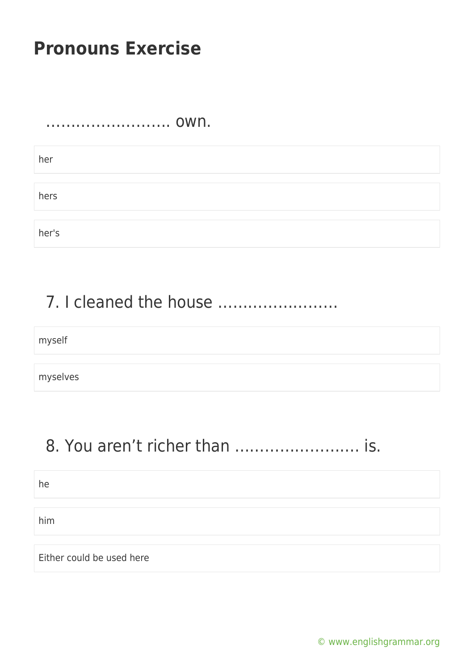……………………. own.

her hers her's

## 7. I cleaned the house ……………………

myself

myselves

## 8. You aren't richer than ……………………. is.

| he                        |  |
|---------------------------|--|
|                           |  |
| him                       |  |
|                           |  |
| Either could be used here |  |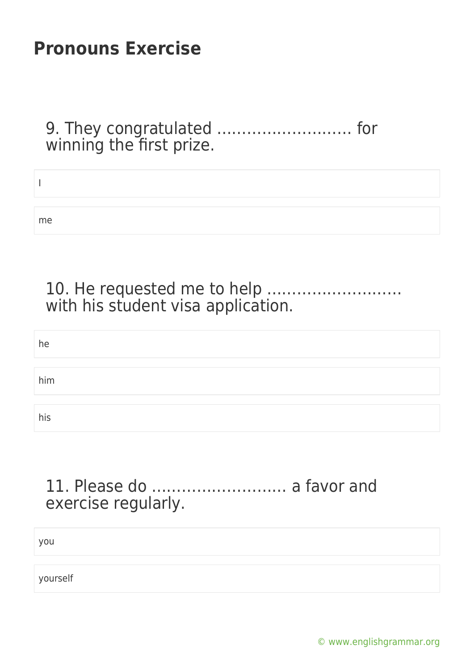9. They congratulated ……………………… for winning the first prize.

| me |  |  |
|----|--|--|

#### 10. He requested me to help ……………………… with his student visa application.

| he  |  |  |  |
|-----|--|--|--|
|     |  |  |  |
| him |  |  |  |
|     |  |  |  |
| his |  |  |  |

#### 11. Please do ……………………… a favor and exercise regularly.

you

yourself